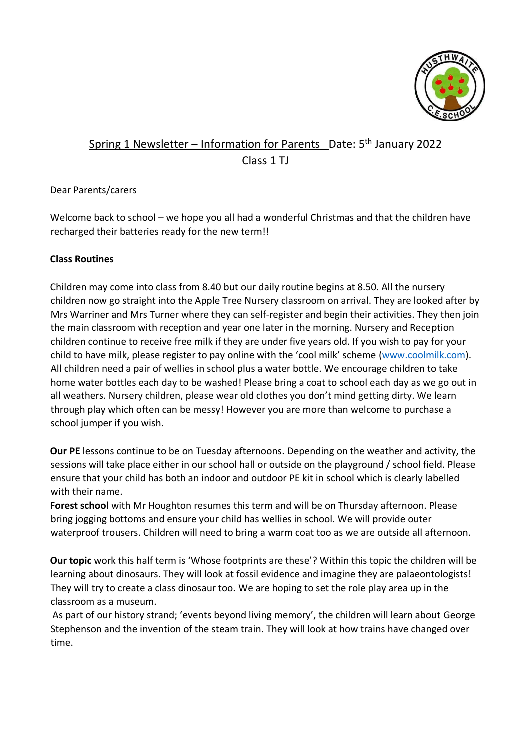

# Spring 1 Newsletter – Information for Parents \_Date: 5<sup>th</sup> January 2022 Class 1 TJ

## Dear Parents/carers

Welcome back to school – we hope you all had a wonderful Christmas and that the children have recharged their batteries ready for the new term!!

## **Class Routines**

Children may come into class from 8.40 but our daily routine begins at 8.50. All the nursery children now go straight into the Apple Tree Nursery classroom on arrival. They are looked after by Mrs Warriner and Mrs Turner where they can self-register and begin their activities. They then join the main classroom with reception and year one later in the morning. Nursery and Reception children continue to receive free milk if they are under five years old. If you wish to pay for your child to have milk, please register to pay online with the 'cool milk' scheme [\(www.coolmilk.com\).](http://www.coolmilk.com/) All children need a pair of wellies in school plus a water bottle. We encourage children to take home water bottles each day to be washed! Please bring a coat to school each day as we go out in all weathers. Nursery children, please wear old clothes you don't mind getting dirty. We learn through play which often can be messy! However you are more than welcome to purchase a school jumper if you wish.

**Our PE** lessons continue to be on Tuesday afternoons. Depending on the weather and activity, the sessions will take place either in our school hall or outside on the playground / school field. Please ensure that your child has both an indoor and outdoor PE kit in school which is clearly labelled with their name.

**Forest school** with Mr Houghton resumes this term and will be on Thursday afternoon. Please bring jogging bottoms and ensure your child has wellies in school. We will provide outer waterproof trousers. Children will need to bring a warm coat too as we are outside all afternoon.

**Our topic** work this half term is 'Whose footprints are these'? Within this topic the children will be learning about dinosaurs. They will look at fossil evidence and imagine they are palaeontologists! They will try to create a class dinosaur too. We are hoping to set the role play area up in the classroom as a museum.

As part of our history strand; 'events beyond living memory', the children will learn about George Stephenson and the invention of the steam train. They will look at how trains have changed over time.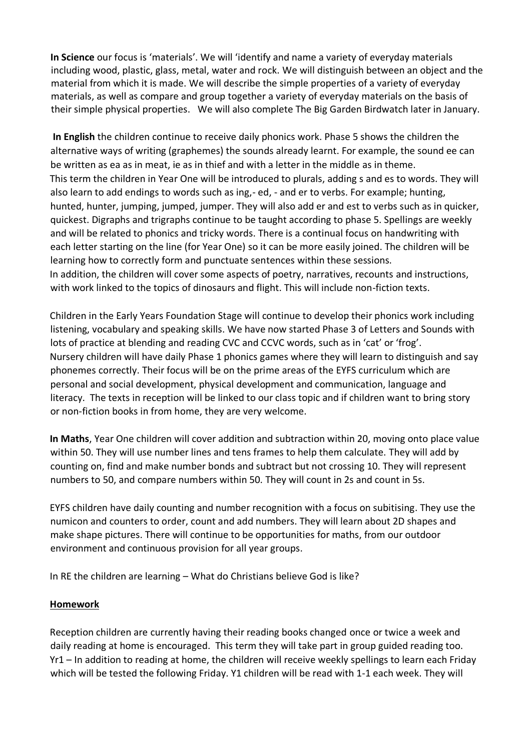**In Science** our focus is 'materials'. We will 'identify and name a variety of everyday materials including wood, plastic, glass, metal, water and rock. We will distinguish between an object and the material from which it is made. We will describe the simple properties of a variety of everyday materials, as well as compare and group together a variety of everyday materials on the basis of their simple physical properties. We will also complete The Big Garden Birdwatch later in January.

**In English** the children continue to receive daily phonics work. Phase 5 shows the children the alternative ways of writing (graphemes) the sounds already learnt. For example, the sound ee can be written as ea as in meat, ie as in thief and with a letter in the middle as in theme. This term the children in Year One will be introduced to plurals, adding s and es to words. They will also learn to add endings to words such as ing,- ed, - and er to verbs. For example; hunting, hunted, hunter, jumping, jumped, jumper. They will also add er and est to verbs such as in quicker, quickest. Digraphs and trigraphs continue to be taught according to phase 5. Spellings are weekly and will be related to phonics and tricky words. There is a continual focus on handwriting with each letter starting on the line (for Year One) so it can be more easily joined. The children will be learning how to correctly form and punctuate sentences within these sessions. In addition, the children will cover some aspects of poetry, narratives, recounts and instructions, with work linked to the topics of dinosaurs and flight. This will include non-fiction texts.

Children in the Early Years Foundation Stage will continue to develop their phonics work including listening, vocabulary and speaking skills. We have now started Phase 3 of Letters and Sounds with lots of practice at blending and reading CVC and CCVC words, such as in 'cat' or 'frog'. Nursery children will have daily Phase 1 phonics games where they will learn to distinguish and say phonemes correctly. Their focus will be on the prime areas of the EYFS curriculum which are personal and social development, physical development and communication, language and literacy. The texts in reception will be linked to our class topic and if children want to bring story or non-fiction books in from home, they are very welcome.

**In Maths**, Year One children will cover addition and subtraction within 20, moving onto place value within 50. They will use number lines and tens frames to help them calculate. They will add by counting on, find and make number bonds and subtract but not crossing 10. They will represent numbers to 50, and compare numbers within 50. They will count in 2s and count in 5s.

EYFS children have daily counting and number recognition with a focus on subitising. They use the numicon and counters to order, count and add numbers. They will learn about 2D shapes and make shape pictures. There will continue to be opportunities for maths, from our outdoor environment and continuous provision for all year groups.

In RE the children are learning – What do Christians believe God is like?

#### **Homework**

Reception children are currently having their reading books changed once or twice a week and daily reading at home is encouraged. This term they will take part in group guided reading too. Yr1 – In addition to reading at home, the children will receive weekly spellings to learn each Friday which will be tested the following Friday. Y1 children will be read with 1-1 each week. They will